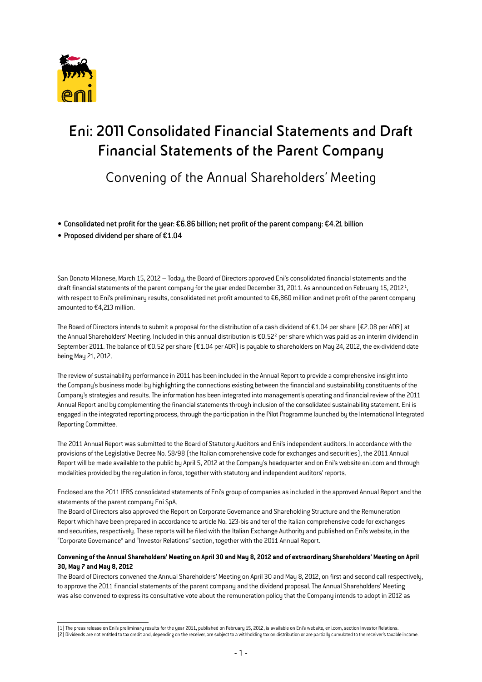

# **Eni: 2011 Consolidated Financial Statements and Draft Financial Statements of the Parent Company**

Convening of the Annual Shareholders' Meeting

• Consolidated net profit for the year: €6.86 billion; net profit of the parent company: €4.21 billion

• Proposed dividend per share of €1.04

San Donato Milanese, March 15, 2012 – Today, the Board of Directors approved Eni's consolidated financial statements and the draft financial statements of the parent company for the year ended December 31, 2011. As announced on February 15, 2012<sup>1</sup>, with respect to Eni's preliminary results, consolidated net profit amounted to €6,860 million and net profit of the parent company amounted to €4,213 million.

The Board of Directors intends to submit a proposal for the distribution of a cash dividend of €1.04 per share (€2.08 per ADR) at the Annual Shareholders' Meeting. Included in this annual distribution is €0.52 $^2$  per share which was paid as an interim dividend in September 2011. The balance of €0.52 per share (€1.04 per ADR) is payable to shareholders on May 24, 2012, the ex-dividend date being May 21, 2012.

The review of sustainability performance in 2011 has been included in the Annual Report to provide a comprehensive insight into the Company's business model by highlighting the connections existing between the financial and sustainability constituents of the Company's strategies and results. The information has been integrated into management's operating and financial review of the 2011 Annual Report and by complementing the financial statements through inclusion of the consolidated sustainability statement. Eni is engaged in the integrated reporting process, through the participation in the Pilot Programme launched by the International Integrated Reporting Committee.

The 2011 Annual Report was submitted to the Board of Statutory Auditors and Eni's independent auditors. In accordance with the provisions of the Legislative Decree No. 58/98 (the Italian comprehensive code for exchanges and securities), the 2011 Annual Report will be made available to the public by April 5, 2012 at the Company's headquarter and on Eni's website eni.com and through modalities provided by the regulation in force, together with statutory and independent auditors' reports.

Enclosed are the 2011 IFRS consolidated statements of Eni's group of companies as included in the approved Annual Report and the statements of the parent company Eni SpA.

The Board of Directors also approved the Report on Corporate Governance and Shareholding Structure and the Remuneration Report which have been prepared in accordance to article No. 123-bis and ter of the Italian comprehensive code for exchanges and securities, respectively. These reports will be filed with the Italian Exchange Authority and published on Eni's website, in the "Corporate Governance" and "Investor Relations" section, together with the 2011 Annual Report.

#### **Convening of the Annual Shareholders' Meeting on April 30 and May 8, 2012 and of extraordinary Shareholders' Meeting on April 30, May 7 and May 8, 2012**

The Board of Directors convened the Annual Shareholders' Meeting on April 30 and May 8, 2012, on first and second call respectively, to approve the 2011 financial statements of the parent company and the dividend proposal. The Annual Shareholders' Meeting was also convened to express its consultative vote about the remuneration policy that the Company intends to adopt in 2012 as

<sup>(1)</sup> The press release on Eni's preliminary results for the year 2011, published on February 15, 2012, is available on Eni's website, eni.com, section Investor Relations. (2) Dividends are not entitled to tax credit and, depending on the receiver, are subject to a withholding tax on distribution or are partially cumulated to the receiver's taxable income.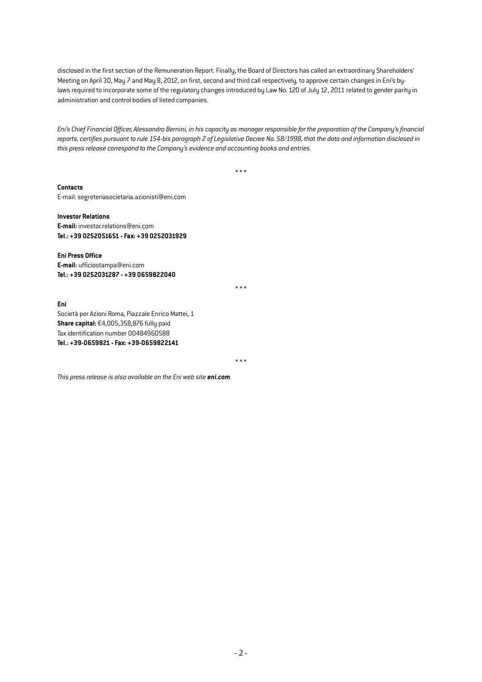disclosed in the first section of the Remuneration Report. Finally, the Board of Directors has called an extraordinary Shareholders' Meeting on April 30, May 7 and May 8, 2012, on first, second and third call respectively, to approve certain changes in Eni's bylaws required to incorporate some of the regulatory changes introduced by Law No. 120 of July 12, 2011 related to gender parity in administration and control bodies of listed companies.

*Eni's Chief Financial Officer, Alessandro Bernini, in his capacity as manager responsible for the preparation of the Company's financial reports, certifies pursuant to rule 154-bis paragraph 2 of Legislative Decree No. 58/1998, that the data and information disclosed in this press release correspond to the Company's evidence and accounting books and entries.* 

\* \* \*

**Contacts** 

E-mail: segreteriasocietaria.azionisti@eni.com

**Investor Relations** 

**E-mail:** investor.relations@eni.com **Tel.: +39 0252051651 - Fax: +39 0252031929** 

**Eni Press Office E-mail:** ufficiostampa@eni.com **Tel.: +39 0252031287 - +39 0659822040** 

\* \* \*

**Eni**  Società per Azioni Roma, Piazzale Enrico Mattei, 1 **Share capital:** €4,005,358,876 fully paid Tax identification number 00484960588 **Tel.: +39-0659821 - Fax: +39-0659822141** 

\* \* \*

*This press release is also available on the Eni web site eni.com.*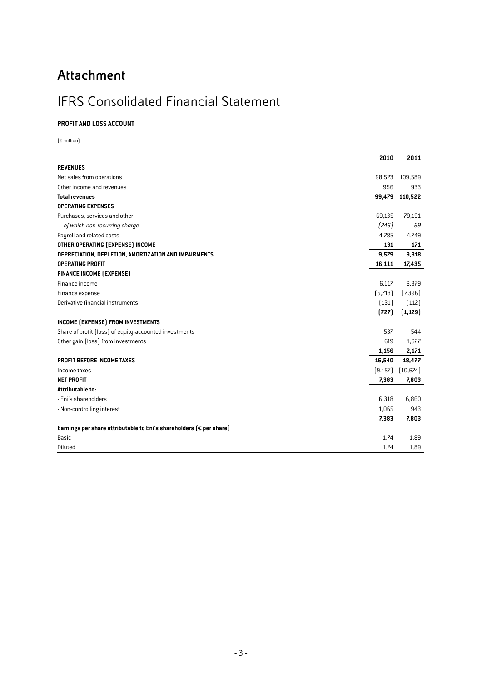## **Attachment**

### IFRS Consolidated Financial Statement

#### **Profit and Loss Account**

|                                                                               | 2010     | 2011      |
|-------------------------------------------------------------------------------|----------|-----------|
| <b>REVENUES</b>                                                               |          |           |
| Net sales from operations                                                     | 98,523   | 109,589   |
| Other income and revenues                                                     | 956      | 933       |
| <b>Total revenues</b>                                                         | 99,479   | 110,522   |
| <b>OPERATING EXPENSES</b>                                                     |          |           |
| Purchases, services and other                                                 | 69,135   | 79,191    |
| - of which non-recurring charge                                               | [246]    | 69        |
| Payroll and related costs                                                     | 4,785    | 4,749     |
| OTHER OPERATING (EXPENSE) INCOME                                              | 131      | 171       |
| DEPRECIATION, DEPLETION, AMORTIZATION AND IMPAIRMENTS                         | 9,579    | 9,318     |
| <b>OPERATING PROFIT</b>                                                       | 16,111   | 17,435    |
| <b>FINANCE INCOME (EXPENSE)</b>                                               |          |           |
| Finance income                                                                | 6,117    | 6,379     |
| Finance expense                                                               | [6,713]  | [7,396]   |
| Derivative financial instruments                                              | (131)    | [112]     |
|                                                                               | (727)    | (1, 129)  |
| INCOME (EXPENSE) FROM INVESTMENTS                                             |          |           |
| Share of profit (loss) of equity-accounted investments                        | 537      | 544       |
| Other gain (loss) from investments                                            | 619      | 1,627     |
|                                                                               | 1,156    | 2,171     |
| PROFIT BEFORE INCOME TAXES                                                    | 16,540   | 18,477    |
| Income taxes                                                                  | (9, 157) | (10, 674) |
| <b>NET PROFIT</b>                                                             | 7,383    | 7,803     |
| Attributable to:                                                              |          |           |
| - Eni's shareholders                                                          | 6,318    | 6,860     |
| - Non-controlling interest                                                    | 1,065    | 943       |
|                                                                               | 7,383    | 7,803     |
| Earnings per share attributable to Eni's shareholders ( $\epsilon$ per share) |          |           |
| Basic                                                                         | 1.74     | 1.89      |
| Diluted                                                                       | 1.74     | 1.89      |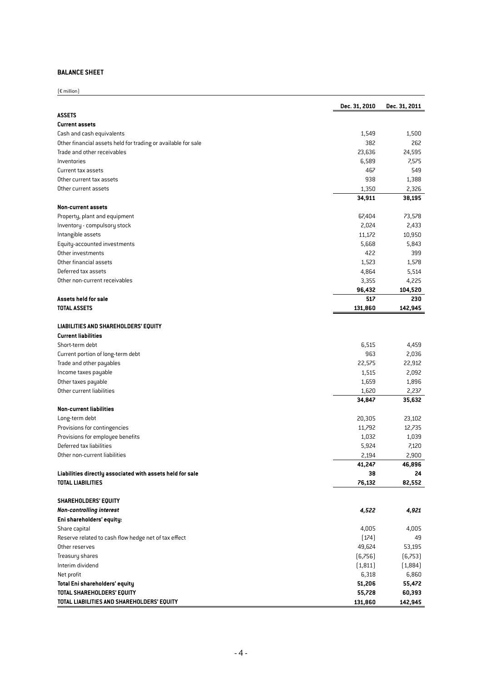#### **Balance Sheet**

 $E$  million

|                                                               | Dec. 31, 2010 | Dec. 31, 2011 |
|---------------------------------------------------------------|---------------|---------------|
| <b>ASSETS</b>                                                 |               |               |
| <b>Current assets</b>                                         |               |               |
| Cash and cash equivalents                                     | 1,549         | 1,500         |
| Other financial assets held for trading or available for sale | 382           | 262           |
| Trade and other receivables                                   | 23,636        | 24,595        |
| Inventories                                                   | 6,589         | 7,575         |
| Current tax assets                                            | 467           | 549           |
| Other current tax assets                                      | 938           | 1,388         |
| Other current assets                                          | 1,350         | 2,326         |
|                                                               | 34,911        | 38,195        |
| <b>Non-current assets</b>                                     |               |               |
| Property, plant and equipment                                 | 67,404        | 73,578        |
| Inventory - compulsory stock                                  | 2,024         | 2,433         |
| Intangible assets                                             | 11,172        | 10,950        |
| Equity-accounted investments                                  | 5,668         | 5,843         |
| Other investments                                             | 422           | 399           |
| Other financial assets                                        | 1,523         | 1,578         |
| Deferred tax assets                                           | 4,864         | 5,514         |
| Other non-current receivables                                 | 3,355         | 4,225         |
|                                                               | 96,432        | 104,520       |
| Assets held for sale                                          | 517           | 230           |
| <b>TOTAL ASSETS</b>                                           | 131,860       | 142,945       |
|                                                               |               |               |
| <b>LIABILITIES AND SHAREHOLDERS' EQUITY</b>                   |               |               |
| <b>Current liabilities</b>                                    |               |               |
| Short-term debt                                               | 6,515         | 4,459         |
| Current portion of long-term debt                             | 963           | 2,036         |
| Trade and other payables                                      | 22,575        | 22,912        |
| Income taxes payable                                          | 1,515         | 2,092         |
| Other taxes payable                                           | 1,659         | 1,896         |
| Other current liabilities                                     | 1,620         | 2,237         |
|                                                               | 34,847        | 35,632        |
| <b>Non-current liabilities</b>                                |               |               |
| Long-term debt                                                | 20,305        | 23,102        |
| Provisions for contingencies                                  | 11,792        | 12,735        |
| Provisions for employee benefits                              | 1,032         | 1,039         |
| Deferred tax liabilities                                      | 5,924         | 7,120         |
| Other non-current liabilities                                 | 2,194         | 2,900         |
|                                                               | 41,247        | 46,896        |
| Liabilities directly associated with assets held for sale     | 38            | 24            |
| TOTAL LIABILITIES                                             | 76,132        | 82,552        |
|                                                               |               |               |
| SHAREHOLDERS' EQUITY                                          |               |               |
| <b>Non-controlling interest</b>                               | 4,522         | 4,921         |
| Eni shareholders' equity:                                     |               |               |
| Share capital                                                 | 4,005         | 4,005         |
| Reserve related to cash flow hedge net of tax effect          | (174)         | 49            |
| Other reserves                                                | 49,624        | 53,195        |
| Treasury shares                                               | (6,756)       | (6,753)       |
| Interim dividend                                              | (1, 811)      | (1,884)       |
| Net profit                                                    | 6,318         | 6,860         |
| Total Eni shareholders' equity                                | 51,206        | 55,472        |
| TOTAL SHAREHOLDERS' EQUITY                                    | 55,728        | 60,393        |
| TOTAL LIABILITIES AND SHAREHOLDERS' EQUITY                    | 131,860       | 142,945       |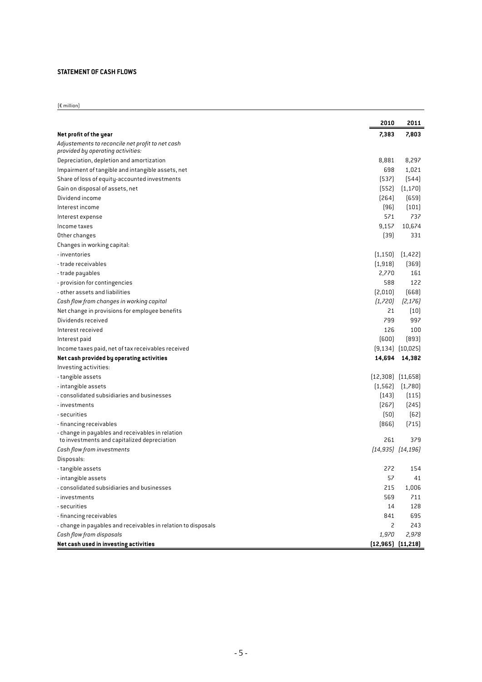#### **Statement of Cash Flows**

|                                                                                                 | 2010                    | 2011                 |
|-------------------------------------------------------------------------------------------------|-------------------------|----------------------|
| Net profit of the year                                                                          | 7,383                   | 7,803                |
| Adjustements to reconcile net profit to net cash<br>provided by operating activities:           |                         |                      |
| Depreciation, depletion and amortization                                                        | 8,881                   | 8,297                |
| Impairment of tangible and intangible assets, net                                               | 698                     | 1,021                |
| Share of loss of equity-accounted investments                                                   | [537]                   | [544]                |
| Gain on disposal of assets, net                                                                 | (552)                   | (1, 170)             |
| Dividend income                                                                                 | [264]                   | (659)                |
| Interest income                                                                                 | $[96]$                  | (101)                |
| Interest expense                                                                                | 571                     | 737                  |
| Income taxes                                                                                    | 9,157                   | 10,674               |
| Other changes                                                                                   | [39]                    | 331                  |
| Changes in working capital:                                                                     |                         |                      |
| - inventories                                                                                   | [1, 150]                | [1,422]              |
| - trade receivables                                                                             | [1,918]                 | (369)                |
| - trade payables                                                                                | 2,770                   | 161                  |
| - provision for contingencies                                                                   | 588                     | 122                  |
| - other assets and liabilities                                                                  | [2,010]                 | [668]                |
| Cash flow from changes in working capital                                                       | (1,720)                 | [2, 176]             |
| Net change in provisions for employee benefits                                                  | 21                      | (10)                 |
| Dividends received                                                                              | 799                     | 997                  |
| Interest received                                                                               | 126                     | 100                  |
| Interest paid                                                                                   | (600)                   | [893]                |
| Income taxes paid, net of tax receivables received                                              |                         | $[9,134]$ $[10,025]$ |
| Net cash provided by operating activities                                                       |                         | 14,694 14,382        |
| Investing activities:                                                                           |                         |                      |
| - tangible assets                                                                               | $[12,308]$ $[11,658]$   |                      |
| - intangible assets                                                                             | (1, 562)                | (1,780)              |
| - consolidated subsidiaries and businesses                                                      | [143]                   | [115]                |
| - investments                                                                                   | $[267]$                 | [245]                |
| - securities                                                                                    | $[50]$                  | $[62]$               |
| - financing receivables                                                                         | [866]                   | [715]                |
| - change in payables and receivables in relation<br>to investments and capitalized depreciation | 261                     | 379                  |
| Cash flow from investments                                                                      | $(14, 935)$ $(14, 196)$ |                      |
| Disposals:                                                                                      |                         |                      |
| - tangible assets                                                                               | 272                     | 154                  |
| - intangible assets                                                                             | 57                      | 41                   |
| - consolidated subsidiaries and businesses                                                      | 215                     | 1,006                |
| - investments                                                                                   | 569                     | 711                  |
| - securities                                                                                    | 14                      | 128                  |
| - financing receivables                                                                         | 841                     | 695                  |
| - change in payables and receivables in relation to disposals                                   | 2                       | 243                  |
| Cash flow from disposals                                                                        | 1,970                   | 2,978                |
| Net cash used in investing activities                                                           | $(12,965)$ $(11,218)$   |                      |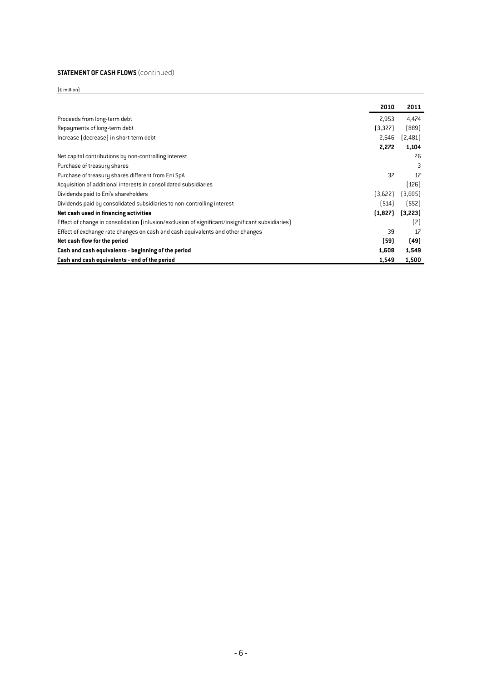#### **Statement of Cash Flows** (continued)

|                                                                                                  | 2010    | 2011    |
|--------------------------------------------------------------------------------------------------|---------|---------|
| Proceeds from long-term debt                                                                     | 2,953   | 4,474   |
| Repayments of long-term debt                                                                     | [3,327] | [889]   |
| Increase (decrease) in short-term debt                                                           | 2,646   | [2,481] |
|                                                                                                  | 2,272   | 1,104   |
| Net capital contributions by non-controlling interest                                            |         | 26      |
| Purchase of treasury shares                                                                      |         | 3       |
| Purchase of treasury shares different from Eni SpA                                               | 37      | 17      |
| Acquisition of additional interests in consolidated subsidiaries                                 |         | [126]   |
| Dividends paid to Eni's shareholders                                                             | (3,622) | (3,695) |
| Dividends paid by consolidated subsidiaries to non-controlling interest                          | [514]   | (552)   |
| Net cash used in financing activities                                                            | (1,827) | [3,223] |
| Effect of change in consolidation (inlusion/exclusion of significant/insignificant subsidiaries) |         | [7]     |
| Effect of exchange rate changes on cash and cash equivalents and other changes                   | 39      | 17      |
| Net cash flow for the period                                                                     | (59)    | [49]    |
| Cash and cash equivalents - beginning of the period                                              | 1,608   | 1,549   |
| Cash and cash equivalents - end of the period                                                    | 1,549   | 1,500   |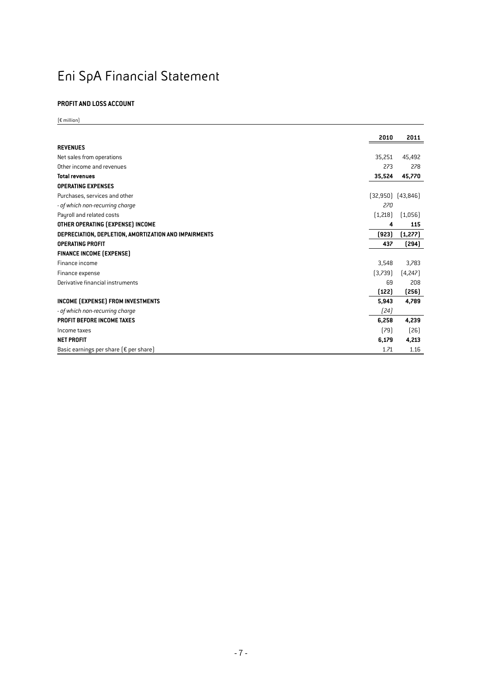# Eni SpA Financial Statement

#### **Profit and Loss Account**

|                                                       | 2010    | 2011                  |
|-------------------------------------------------------|---------|-----------------------|
| <b>REVENUES</b>                                       |         |                       |
| Net sales from operations                             | 35.251  | 45,492                |
| Other income and revenues                             | 273     | 278                   |
| <b>Total revenues</b>                                 | 35,524  | 45,770                |
| <b>OPERATING EXPENSES</b>                             |         |                       |
| Purchases, services and other                         |         | $(32,950)$ $(43,846)$ |
| - of which non-recurring charge                       | 270     |                       |
| Payroll and related costs                             | [1,218] | (1,056)               |
| OTHER OPERATING (EXPENSE) INCOME                      | 4       | 115                   |
| DEPRECIATION, DEPLETION, AMORTIZATION AND IMPAIRMENTS | (923)   | (1, 277)              |
| <b>OPERATING PROFIT</b>                               | 437     | (294)                 |
| <b>FINANCE INCOME (EXPENSE)</b>                       |         |                       |
| Finance income                                        | 3,548   | 3,783                 |
| Finance expense                                       | (3,739) | [4,247]               |
| Derivative financial instruments                      | 69      | 208                   |
|                                                       | (122)   | (256)                 |
| INCOME (EXPENSE) FROM INVESTMENTS                     | 5,943   | 4,789                 |
| - of which non-recurring charge                       | [24]    |                       |
| PROFIT BEFORE INCOME TAXES                            | 6,258   | 4,239                 |
| Income taxes                                          | [79]    | $[26]$                |
| <b>NET PROFIT</b>                                     | 6,179   | 4,213                 |
| Basic earnings per share $\{\epsilon\}$ per share)    | 1.71    | 1.16                  |